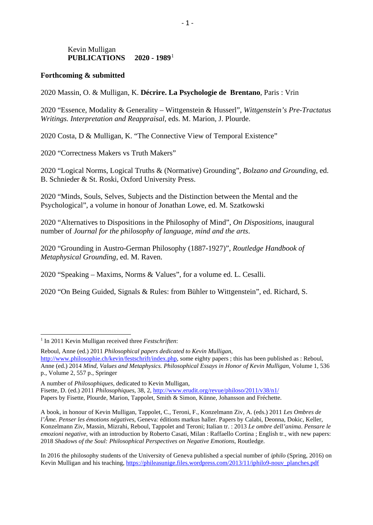## Kevin Mulligan **PUBLICATIONS 2020 - 1989**[1](#page-0-0)

## **Forthcoming & submitted**

2020 Massin, O. & Mulligan, K. **Décrire. La Psychologie de Brentano**, Paris : Vrin

2020 "Essence, Modality & Generality – Wittgenstein & Husserl", *Wittgenstein's Pre-Tractatus Writings. Interpretation and Reappraisal*, eds. M. Marion, J. Plourde.

2020 Costa, D & Mulligan, K. "The Connective View of Temporal Existence"

2020 "Correctness Makers vs Truth Makers"

2020 "Logical Norms, Logical Truths & (Normative) Grounding", *Bolzano and Grounding*, ed. B. Schnieder & St. Roski, Oxford University Press.

2020 "Minds, Souls, Selves, Subjects and the Distinction between the Mental and the Psychological", a volume in honour of Jonathan Lowe, ed. M. Szatkowski

2020 "Alternatives to Dispositions in the Philosophy of Mind", *On Dispositions*, inaugural number of *Journal for the philosophy of language, mind and the arts*.

2020 "Grounding in Austro-German Philosophy (1887-1927)", *Routledge Handbook of Metaphysical Grounding*, ed. M. Raven.

2020 "Speaking – Maxims, Norms & Values", for a volume ed. L. Cesalli.

2020 "On Being Guided, Signals & Rules: from Bühler to Wittgenstein", ed. Richard, S.

Reboul, Anne (ed.) 2011 *Philosophical papers dedicated to Kevin Mulligan*, [http://www.philosophie.ch/kevin/festschrift/index.php,](http://www.philosophie.ch/kevin/festschrift/index.php) some eighty papers ; this has been published as : Reboul, Anne (ed.) 2014 *Mind, Values and Metaphysics. Philosophical Essays in Honor of Kevin Mulligan*, Volume 1, 536 p., Volume 2, 557 p., Springer

A number of *Philosophiques,* dedicated to Kevin Mulligan, Fisette, D. (ed.) 2011 *Philosophiques*, 38, 2,<http://www.erudit.org/revue/philoso/2011/v38/n1/> Papers by Fisette, Plourde, Marion, Tappolet, Smith & Simon, Künne, Johansson and Fréchette.

A book, in honour of Kevin Mulligan, Tappolet, C., Teroni, F., Konzelmann Ziv, A. (eds.) 2011 *Les Ombres de l'Âme. Penser les émotions négatives*, Geneva: éditions markus haller. Papers by Calabi, Deonna, Dokic, Keller, Konzelmann Ziv, Massin, Mizrahi, Reboul, Tappolet and Teroni; Italian tr. : 2013 *Le ombre dell'anima*. *Pensare le emozioni negative*, with an introduction by Roberto Casati, Milan : Raffaello Cortina ; English tr., with new papers: 2018 *Shadows of the Soul: Philosophical Perspectives on Negative Emotions*, Routledge.

In 2016 the philosophy students of the University of Geneva published a special number of *iphilo* (Spring, 2016) on Kevin Mulligan and his teaching, [https://phileasunige.files.wordpress.com/2013/11/iphilo9-nouv\\_planches.pdf](https://phileasunige.files.wordpress.com/2013/11/iphilo9-nouv_planches.pdf)

<span id="page-0-0"></span><sup>1</sup> In 2011 Kevin Mulligan received three *Festschriften*: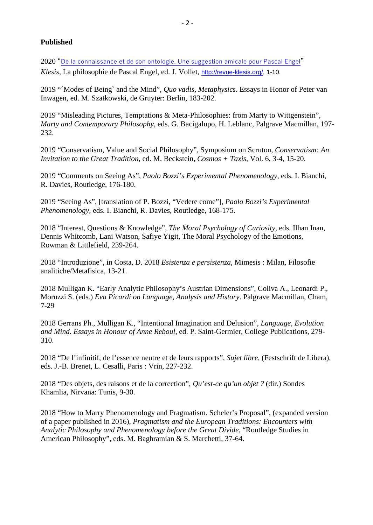## **Published**

2020 ["De la connaissance et de son ontologie. Une suggestion amicale pour Pascal Engel"](http://revue-klesis.org/pdf/klesis-45-Engel-13-Kevin-Mulligan-connaissance-et-ontologie-suggestion-amicale-pour-Pascal-Engel.pdf) *Klesis*, La philosophie de Pascal Engel, ed. J. Vollet, [http://revue-klesis.org/,](http://revue-klesis.org/) 1-10.

2019 "´Modes of Being` and the Mind", *Quo vadis, Metaphysics*. Essays in Honor of Peter van Inwagen, ed. M. Szatkowski, de Gruyter: Berlin, 183-202.

2019 "Misleading Pictures, Temptations & Meta-Philosophies: from Marty to Wittgenstein", *Marty and Contemporary Philosophy*, eds. G. Bacigalupo, H. Leblanc, Palgrave Macmillan, 197- 232.

2019 "Conservatism, Value and Social Philosophy", Symposium on Scruton, *Conservatism: An Invitation to the Great Tradition*, ed. M. Beckstein, *Cosmos + Taxis*, Vol. 6, 3-4, 15-20.

2019 "Comments on Seeing As", *Paolo Bozzi's Experimental Phenomenology*, eds. I. Bianchi, R. Davies, Routledge, 176-180.

2019 "Seeing As", [translation of P. Bozzi, "Vedere come"], *Paolo Bozzi's Experimental Phenomenology*, eds. I. Bianchi, R. Davies, Routledge, 168-175.

2018 "Interest, Questions & Knowledge", *The Moral Psychology of Curiosity*, eds. Ilhan Inan, Dennis Whitcomb, Lani Watson, Safiye Yigit, The Moral Psychology of the Emotions, Rowman & Littlefield, 239-264.

2018 "Introduzione", in Costa, D. 2018 *Esistenza e persistenza*, Mimesis : Milan, Filosofie analitiche/Metafisica, 13-21.

2018 Mulligan K. "Early Analytic Philosophy's Austrian Dimensions", Coliva A., Leonardi P., Moruzzi S. (eds.) *Eva Picardi on Language, Analysis and History*. Palgrave Macmillan, Cham, 7-29

2018 Gerrans Ph., Mulligan K., "Intentional Imagination and Delusion", *Language, Evolution and Mind. Essays in Honour of Anne Reboul*, ed. P. Saint-Germier, College Publications, 279- 310.

2018 "De l'infinitif, de l'essence neutre et de leurs rapports", *Sujet libre*, (Festschrift de Libera), eds. J.-B. Brenet, L. Cesalli, Paris : Vrin, 227-232.

2018 "Des objets, des raisons et de la correction", *Qu'est-ce qu'un objet ?* (dir.) Sondes Khamlia, Nirvana: Tunis, 9-30.

2018 "How to Marry Phenomenology and Pragmatism. Scheler's Proposal", (expanded version of a paper published in 2016), *Pragmatism and the European Traditions: Encounters with Analytic Philosophy and Phenomenology before the Great Divide*, "Routledge Studies in American Philosophy", eds. M. Baghramian & S. Marchetti, 37-64.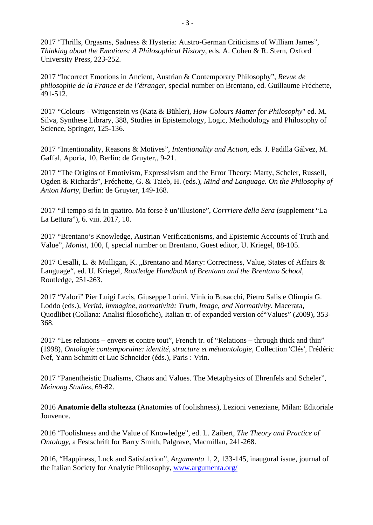2017 "Thrills, Orgasms, Sadness & Hysteria: Austro-German Criticisms of William James", *Thinking about the Emotions: A Philosophical History*, eds. A. Cohen & R. Stern, Oxford University Press, 223-252.

2017 "Incorrect Emotions in Ancient, Austrian & Contemporary Philosophy", *Revue de philosophie de la France et de l'étranger,* special number on Brentano, ed. Guillaume Fréchette, 491-512.

2017 "Colours - Wittgenstein vs (Katz & Bühler), *How Colours Matter for Philosophy*" ed. M. Silva, Synthese Library, 388, Studies in Epistemology, Logic, Methodology and Philosophy of Science, Springer, 125-136.

2017 "Intentionality, Reasons & Motives", *Intentionality and Action*, eds. J. Padilla Gálvez, M. Gaffal, Aporia, 10, Berlin: de Gruyter,, 9-21.

2017 "The Origins of Emotivism, Expressivism and the Error Theory: Marty, Scheler, Russell, Ogden & Richards", Fréchette, G. & Taieb, H. (eds.), *Mind and Language. On the Philosophy of Anton Marty*, Berlin: de Gruyter, 149-168.

2017 "Il tempo si fa in quattro. Ma forse è un'illusione", *Corrriere della Sera* (supplement "La La Lettura"), 6. viii. 2017, 10.

2017 "Brentano's Knowledge, Austrian Verificationisms, and Epistemic Accounts of Truth and Value", *Monist*, 100, I, special number on Brentano, Guest editor, U. Kriegel, 88-105.

2017 Cesalli, L. & Mulligan, K. "Brentano and Marty: Correctness, Value, States of Affairs & Language", ed. U. Kriegel, *Routledge Handbook of Brentano and the Brentano School*, Routledge, 251-263.

2017 "Valori" Pier Luigi Lecis, Giuseppe Lorini, Vinicio Busacchi, Pietro Salis e Olimpia G. Loddo (eds.), *Verità, immagine, normatività: Truth, Image, and Normativity*. Macerata, Quodlibet (Collana: Analisi filosofiche), Italian tr. of expanded version of"Values" (2009), 353- 368.

2017 "Les relations – envers et contre tout", French tr. of "Relations – through thick and thin" (1998), *Ontologie contemporaine: identité, structure et métaontologie*, Collection 'Clés', Frédéric Nef, Yann Schmitt et Luc Schneider (éds.), Paris : Vrin.

2017 "Panentheistic Dualisms, Chaos and Values. The Metaphysics of Ehrenfels and Scheler", *Meinong Studies*, 69-82.

2016 **Anatomie della stoltezza** (Anatomies of foolishness), Lezioni veneziane, Milan: Editoriale Jouvence.

2016 "Foolishness and the Value of Knowledge", ed. L. Zaibert, *The Theory and Practice of Ontology*, a Festschrift for Barry Smith, Palgrave, Macmillan, 241-268.

2016, "Happiness, Luck and Satisfaction", *Argumenta* 1, 2, 133-145, inaugural issue, journal of the Italian Society for Analytic Philosophy, [www.argumenta.org/](http://www.argumenta.org/)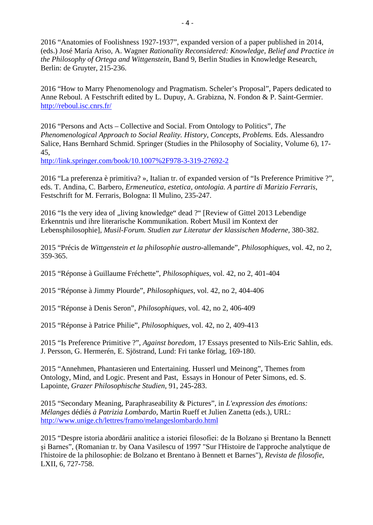2016 "Anatomies of Foolishness 1927-1937", expanded version of a paper published in 2014, (eds.) José María Ariso*,* A. Wagner *Rationality Reconsidered: Knowledge, Belief and Practice in the Philosophy of Ortega and Wittgenstein*, Band 9, Berlin Studies in Knowledge Research, Berlin: de Gruyter, 215-236.

2016 "How to Marry Phenomenology and Pragmatism. Scheler's Proposal", Papers dedicated to Anne Reboul. A Festschrift edited by L. Dupuy, A. Grabizna, N. Fondon & P. Saint-Germier. <http://reboul.isc.cnrs.fr/>

2016 "Persons and Acts – Collective and Social. From Ontology to Politics", *The Phenomenological Approach to Social Reality. History, Concepts, Problems.* Eds. Alessandro Salice, Hans Bernhard Schmid. Springer (Studies in the Philosophy of Sociality, Volume 6), 17- 45,

[http://link.springer.com/book/10.1007%2F978-3-319-27692-2](http://link.springer.com/book/10.1007/978-3-319-27692-2)

2016 "La preferenza è primitiva? », Italian tr. of expanded version of "Is Preference Primitive ?", eds. T. Andina, C. Barbero, *Ermeneutica, estetica, ontologia. A partire di Marizio Ferraris*, Festschrift for M. Ferraris, Bologna: Il Mulino, 235-247.

2016 "Is the very idea of "living knowledge" dead ?" [Review of Gittel 2013 Lebendige Erkenntnis und ihre literarische Kommunikation. Robert Musil im Kontext der Lebensphilosophie], *Musil-Forum. Studien zur Literatur der klassischen Moderne,* 380-382.

2015 "Précis de *Wittgenstein et la philosophie austro-*allemande", *Philosophiques*, vol. 42, no 2, 359-365.

2015 "Réponse à Guillaume Fréchette", *Philosophiques*, vol. 42, no 2, 401-404

2015 "Réponse à Jimmy Plourde", *Philosophiques*, vol. 42, no 2, 404-406

2015 "Réponse à Denis Seron", *Philosophiques*, vol. 42, no 2, 406-409

2015 "Réponse à Patrice Philie", *Philosophiques*, vol. 42, no 2, 409-413

2015 "Is Preference Primitive ?", *Against boredom*, 17 Essays presented to Nils-Eric Sahlin, eds. J. Persson, G. Hermerén, E. Sjöstrand, Lund: Fri tanke förlag, 169-180.

2015 "Annehmen, Phantasieren und Entertaining. Husserl und Meinong", Themes from Ontology, Mind, and Logic. Present and Past, Essays in Honour of Peter Simons, ed. S. Lapointe, *Grazer Philosophische Studien*, 91, 245-283.

2015 "Secondary Meaning, Paraphraseability & Pictures", in *L'expression des émotions: Mélanges* dédiés *à Patrizia Lombardo*, Martin Rueff et Julien Zanetta (eds.), URL: <http://www.unige.ch/lettres/framo/melangeslombardo.html>

2015 "Despre istoria abordării analitice a istoriei filosofiei: de la Bolzano și Brentano la Bennett şi Barnes", (Romanian tr. by Oana Vasilescu of 1997 "Sur l'Histoire de l'approche analytique de l'histoire de la philosophie: de Bolzano et Brentano à Bennett et Barnes"), *Revista de filosofie*, LXII, 6, 727-758.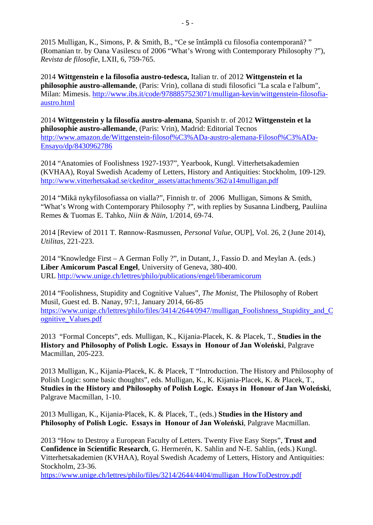2015 Mulligan, K., Simons, P. & Smith, B., "Ce se întâmplă cu filosofia contemporană? " (Romanian tr. by Oana Vasilescu of 2006 "What's Wrong with Contemporary Philosophy ?"), *Revista de filosofie*, LXII, 6, 759-765.

2014 **Wittgenstein e la filosofia austro-tedesca,** Italian tr. of 2012 **Wittgenstein et la philosophie austro-allemande**, (Paris: Vrin), collana di studi filosofici "La scala e l'album", Milan: Mimesis. [http://www.ibs.it/code/9788857523071/mulligan-kevin/wittgenstein-filosofia](http://www.ibs.it/code/9788857523071/mulligan-kevin/wittgenstein-filosofia-austro.html)[austro.html](http://www.ibs.it/code/9788857523071/mulligan-kevin/wittgenstein-filosofia-austro.html)

2014 **Wittgenstein y la filosofía austro-alemana**, Spanish tr. of 2012 **Wittgenstein et la philosophie austro-allemande**, (Paris: Vrin), Madrid: Editorial Tecnos [http://www.amazon.de/Wittgenstein-filosof%C3%ADa-austro-alemana-Filosof%C3%ADa-](http://www.amazon.de/Wittgenstein-filosof%C3%ADa-austro-alemana-Filosof%C3%ADa-Ensayo/dp/8430962786)[Ensayo/dp/8430962786](http://www.amazon.de/Wittgenstein-filosof%C3%ADa-austro-alemana-Filosof%C3%ADa-Ensayo/dp/8430962786)

2014 "Anatomies of Foolishness 1927-1937", Yearbook, Kungl. Vitterhetsakademien (KVHAA), Royal Swedish Academy of Letters, History and Antiquities: Stockholm, 109-129. [http://www.vitterhetsakad.se/ckeditor\\_assets/attachments/362/a14mulligan.pdf](http://www.vitterhetsakad.se/ckeditor_assets/attachments/362/a14mulligan.pdf)

2014 "Mikä nykyfilosofiassa on vialla?", Finnish tr. of 2006 Mulligan, Simons & Smith, "What's Wrong with Contemporary Philosophy ?", with replies by Susanna Lindberg, Pauliina Remes & Tuomas E. Tahko, *Niin & Näin*, 1/2014, 69-74.

2014 [Review of 2011 T. Rønnow-Rasmussen, *Personal Value*, OUP], Vol. 26, 2 (June 2014), *Utilitas*, 221-223.

2014 "Knowledge First – A German Folly ?", in Dutant, J., Fassio D. and Meylan A. (eds.) **Liber Amicorum Pascal Engel**, University of Geneva, 380-400. URL <http://www.unige.ch/lettres/philo/publications/engel/liberamicorum>

2014 "Foolishness, Stupidity and Cognitive Values", *The Monist*, The Philosophy of Robert Musil, Guest ed. B. Nanay, 97:1, January 2014, 66-85 [https://www.unige.ch/lettres/philo/files/3414/2644/0947/mulligan\\_Foolishness\\_Stupidity\\_and\\_C](https://www.unige.ch/lettres/philo/files/3414/2644/0947/mulligan_Foolishness_Stupidity_and_Cognitive_Values.pdf) [ognitive\\_Values.pdf](https://www.unige.ch/lettres/philo/files/3414/2644/0947/mulligan_Foolishness_Stupidity_and_Cognitive_Values.pdf)

2013 "Formal Concepts", eds. Mulligan, K., Kijania-Placek, K. & Placek, T., **Studies in the History and Philosophy of Polish Logic. Essays in Honour of Jan Woleński**, Palgrave Macmillan, 205-223.

2013 Mulligan, K., Kijania-Placek, K. & Placek, T "Introduction. The History and Philosophy of Polish Logic: some basic thoughts", eds. Mulligan, K., K. Kijania-Placek, K. & Placek, T., **Studies in the History and Philosophy of Polish Logic. Essays in Honour of Jan Woleński**, Palgrave Macmillan, 1-10.

2013 Mulligan, K., Kijania-Placek, K. & Placek, T., (eds.) **Studies in the History and Philosophy of Polish Logic. Essays in Honour of Jan Woleński**, Palgrave Macmillan.

2013 "How to Destroy a European Faculty of Letters. Twenty Five Easy Steps", **Trust and Confidence in Scientific Research***,* G. Hermerén, K. Sahlin and N-E. Sahlin, (eds.) Kungl. Vitterhetsakademien (KVHAA), Royal Swedish Academy of Letters, History and Antiquities: Stockholm, 23-36.

[https://www.unige.ch/lettres/philo/files/3214/2644/4404/mulligan\\_HowToDestroy.pdf](https://www.unige.ch/lettres/philo/files/3214/2644/4404/mulligan_HowToDestroy.pdf)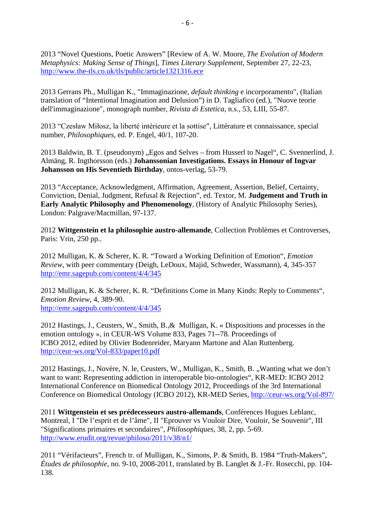2013 "Novel Questions, Poetic Answers" [Review of A. W. Moore, *The Evolution of Modern Metaphysics: Making Sense of Things*], *Times Literary Supplement*, September 27, 22-23, <http://www.the-tls.co.uk/tls/public/article1321316.ece>

2013 Gerrans Ph., Mulligan K., "Immaginazione, *default thinking* e incorporamento", (Italian translation of "Intentional Imagination and Delusion") in D. Tagliafico (ed.), "Nuove teorie dell'immaginazione", monograph number, *Rivista di Estetica*, n.s., 53, LIII, 55-87.

2013 "Czesław Miłosz, la liberté intérieure et la sottise", Littérature et connaissance, special number, *Philosophiques*, ed. P. Engel, 40/1, 107-20.

2013 Baldwin, B. T. (pseudonym), Egos and Selves – from Husserl to Nagel", C. Svennerlind, J. Almäng, R. Ingthorsson (eds.) **Johanssonian Investigations. Essays in Honour of Ingvar Johansson on His Seventieth Birthday**, ontos-verlag, 53-79.

2013 "Acceptance, Acknowledgment, Affirmation, Agreement, Assertion, Belief, Certainty, Conviction, Denial, Judgment, Refusal & Rejection", ed. Textor, M. **Judgement and Truth in Early Analytic Philosophy and Phenomenology***,* (History of Analytic Philosophy Series), London: Palgrave/Macmillan, 97-137.

2012 **Wittgenstein et la philosophie austro-allemande**, Collection Problèmes et Controverses, Paris: Vrin, 250 pp..

2012 Mulligan, K. & Scherer, K. R. "Toward a Working Definition of Emotion", *Emotion Review*, with peer commentary (Deigh, LeDoux, Majid, Schweder, Wassmann), 4, 345-357 <http://emr.sagepub.com/content/4/4/345>

2012 Mulligan, K. & Scherer, K. R. "Definitions Come in Many Kinds: Reply to Comments", *Emotion Review*, 4, 389-90. <http://emr.sagepub.com/content/4/4/345>

2012 Hastings, J., Ceusters, W., Smith, B.,& Mulligan, K. « Dispositions and processes in the emotion ontology », in CEUR-WS Volume 833, Pages 71--78. Proceedings of ICBO 2012, edited by Olivier Bodenreider, Maryann Martone and Alan Ruttenberg. <http://ceur-ws.org/Vol-833/paper10.pdf>

2012 Hastings, J., Novère, N. le, Ceusters, W., Mulligan, K., Smith, B., Wanting what we don't want to want: Representing addiction in interoperable bio-ontologies", [KR-MED: ICBO 2012](http://www.kr-med.org/icbofois2012/icbo.htm) International Conference on Biomedical Ontology 2012, Proceedings of the 3rd International Conference on Biomedical Ontology (ICBO 2012), KR-MED Series,<http://ceur-ws.org/Vol-897/>

2011 **Wittgenstein et ses prédecesseurs austro-allemands**, Conférences Hugues Leblanc, Montreal, I "De l'esprit et de l'âme", II "Eprouver vs Vouloir Dire, Vouloir, Se Souvenir", III "Significations primaires et secondaires", *Philosophiques*, 38, 2, pp. 5-69. <http://www.erudit.org/revue/philoso/2011/v38/n1/>

2011 "Vérifacteurs", French tr. of Mulligan, K., Simons, P. & Smith, B. 1984 "Truth-Makers", *Études de philosophie*, no. 9-10, 2008-2011, translated by B. Langlet & J.-Fr. Rosecchi, pp. 104- 138.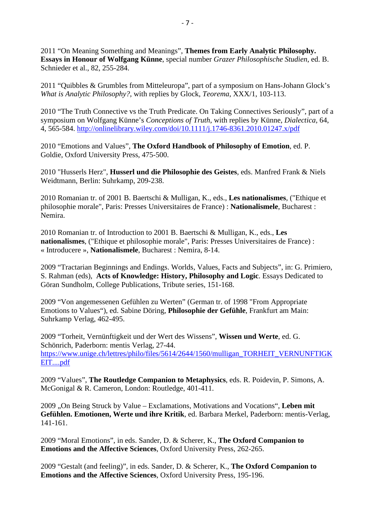2011 "On Meaning Something and Meanings", **Themes from Early Analytic Philosophy. Essays in Honour of Wolfgang Künne**, special number *Grazer Philosophische Studien*, ed. B. Schnieder et al., 82, 255-284.

2011 "Quibbles & Grumbles from Mitteleuropa", part of a symposium on Hans-Johann Glock's *What is Analytic Philosophy?*, with replies by Glock, *Teorema*, XXX/1, 103-113.

2010 "The Truth Connective vs the Truth Predicate. On Taking Connectives Seriously", part of a symposium on Wolfgang Künne's *Conceptions of Truth*, with replies by Künne, *Dialectica*, 64, 4, 565-584. <http://onlinelibrary.wiley.com/doi/10.1111/j.1746-8361.2010.01247.x/pdf>

2010 "Emotions and Values", **The Oxford Handbook of Philosophy of Emotion**, ed. P. Goldie, Oxford University Press, 475-500.

2010 "Husserls Herz", **Husserl und die Philosophie des Geistes**, eds. Manfred Frank & Niels Weidtmann, Berlin: Suhrkamp, 209-238.

2010 Romanian tr. of 2001 B. Baertschi & Mulligan, K., eds., **Les nationalismes**, ("Ethique et philosophie morale", Paris: Presses Universitaires de France) : **Nationalismele**, Bucharest : Nemira.

2010 Romanian tr. of Introduction to 2001 B. Baertschi & Mulligan, K., eds., **Les nationalismes**, ("Ethique et philosophie morale", Paris: Presses Universitaires de France) : « Introducere », **Nationalismele**, Bucharest : Nemira, 8-14.

2009 "Tractarian Beginnings and Endings. Worlds, Values, Facts and Subjects", in: G. Primiero, S. Rahman (eds), **Acts of Knowledge: History, Philosophy and Logic**. Essays Dedicated to Göran Sundholm, College Publications, Tribute series, 151-168.

2009 "Von angemessenen Gefühlen zu Werten" (German tr. of 1998 "From Appropriate Emotions to Values"), ed. Sabine Döring, **Philosophie der Gefühle**, Frankfurt am Main: Suhrkamp Verlag, 462-495.

2009 "Torheit, Vernünftigkeit und der Wert des Wissens", **Wissen und Werte**, ed. G. Schönrich, Paderborn: mentis Verlag, 27-44. [https://www.unige.ch/lettres/philo/files/5614/2644/1560/mulligan\\_TORHEIT\\_VERNUNFTIGK](https://www.unige.ch/lettres/philo/files/5614/2644/1560/mulligan_TORHEIT_VERNUNFTIGKEIT....pdf) [EIT....pdf](https://www.unige.ch/lettres/philo/files/5614/2644/1560/mulligan_TORHEIT_VERNUNFTIGKEIT....pdf)

2009 "Values", **The Routledge Companion to Metaphysics**, eds. R. Poidevin, P. Simons, A. McGonigal & R. Cameron, London: Routledge, 401-411.

2009 "On Being Struck by Value – Exclamations, Motivations and Vocations", **Leben mit Gefühlen. Emotionen, Werte und ihre Kritik**, ed. Barbara Merkel, Paderborn: mentis-Verlag, 141-161.

2009 "Moral Emotions", in eds. Sander, D. & Scherer, K., **The Oxford Companion to Emotions and the Affective Sciences**, Oxford University Press, 262-265.

2009 "Gestalt (and feeling)", in eds. Sander, D. & Scherer, K., **The Oxford Companion to Emotions and the Affective Sciences**, Oxford University Press, 195-196.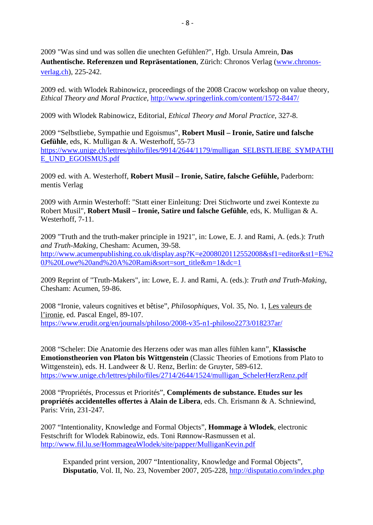2009 "Was sind und was sollen die unechten Gefühlen?", Hgb. Ursula Amrein, **Das Authentische. Referenzen und Repräsentationen**, Zürich: Chronos Verlag [\(www.chronos](http://www.chronos-verlag.ch/)[verlag.ch\)](http://www.chronos-verlag.ch/), 225-242.

2009 ed. with Wlodek Rabinowicz, proceedings of the 2008 Cracow workshop on value theory, *Ethical Theory and Moral Practice*,<http://www.springerlink.com/content/1572-8447/>

2009 with Wlodek Rabinowicz, Editorial, *Ethical Theory and Moral Practice*, 327-8.

2009 "Selbstliebe, Sympathie und Egoismus", **Robert Musil – Ironie, Satire und falsche Gefühle**, eds, K. Mulligan & A. Westerhoff, 55-73 [https://www.unige.ch/lettres/philo/files/9914/2644/1179/mulligan\\_SELBSTLIEBE\\_SYMPATHI](https://www.unige.ch/lettres/philo/files/9914/2644/1179/mulligan_SELBSTLIEBE_SYMPATHIE_UND_EGOISMUS.pdf) [E\\_UND\\_EGOISMUS.pdf](https://www.unige.ch/lettres/philo/files/9914/2644/1179/mulligan_SELBSTLIEBE_SYMPATHIE_UND_EGOISMUS.pdf)

2009 ed. with A. Westerhoff, **Robert Musil – Ironie, Satire, falsche Gefühle,** Paderborn: mentis Verlag

2009 with Armin Westerhoff: "Statt einer Einleitung: Drei Stichworte und zwei Kontexte zu Robert Musil", **Robert Musil – Ironie, Satire und falsche Gefühle**, eds, K. Mulligan & A. Westerhoff, 7-11.

2009 "Truth and the truth-maker principle in 1921", in: Lowe, E. J. and Rami, A. (eds.): *Truth and Truth-Making*, Chesham: Acumen, 39-58. [http://www.acumenpublishing.co.uk/display.asp?K=e2008020112552008&sf1=editor&st1=E%2](http://www.acumenpublishing.co.uk/display.asp?K=e2008020112552008&sf1=editor&st1=E%20J%20Lowe%20and%20A%20Rami&sort=sort_title&m=1&dc=1) [0J%20Lowe%20and%20A%20Rami&sort=sort\\_title&m=1&dc=1](http://www.acumenpublishing.co.uk/display.asp?K=e2008020112552008&sf1=editor&st1=E%20J%20Lowe%20and%20A%20Rami&sort=sort_title&m=1&dc=1)

2009 Reprint of "Truth-Makers", in: Lowe, E. J. and Rami, A. (eds.): *Truth and Truth-Making*, Chesham: Acumen, 59-86.

2008 "Ironie, valeurs cognitives et bêtise", *Philosophiques*, Vol. 35, No. 1, Les valeurs de l'ironie, ed. Pascal Engel, 89-107. <https://www.erudit.org/en/journals/philoso/2008-v35-n1-philoso2273/018237ar/>

2008 "Scheler: Die Anatomie des Herzens oder was man alles fühlen kann", **Klassische Emotionstheorien von Platon bis Wittgenstein** (Classic Theories of Emotions from Plato to Wittgenstein), eds. H. Landweer & U. Renz, Berlin: de Gruyter, 589-612. [https://www.unige.ch/lettres/philo/files/2714/2644/1524/mulligan\\_SchelerHerzRenz.pdf](https://www.unige.ch/lettres/philo/files/2714/2644/1524/mulligan_SchelerHerzRenz.pdf)

2008 "Propriétés, Processus et Priorités", **Compléments de substance. Etudes sur les propriétés accidentelles offertes à Alain de Libera**, eds. Ch. Erismann & A. Schniewind, Paris: Vrin, 231-247.

2007 "Intentionality, Knowledge and Formal Objects", **Hommage à Wlodek**, electronic Festschrift for Wlodek Rabinowiz, eds. Toni Rønnow-Rasmussen et al. <http://www.fil.lu.se/HommageaWlodek/site/papper/MulliganKevin.pdf>

Expanded print version, 2007 "Intentionality, Knowledge and Formal Objects", **Disputatio**, Vol. II, No. 23, November 2007, 205-228,<http://disputatio.com/index.php>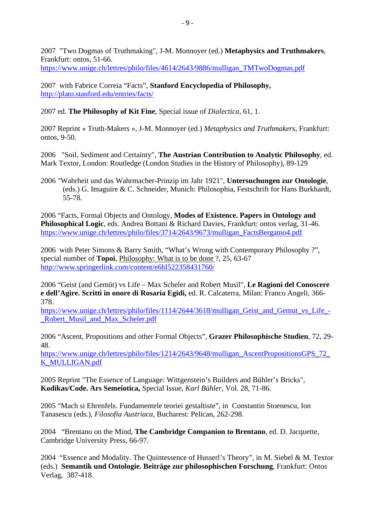2007 "Two Dogmas of Truthmaking", J-M. Monnoyer (ed.) **Metaphysics and Truthmakers**, Frankfurt: ontos, 51-66. [https://www.unige.ch/lettres/philo/files/4614/2643/9886/mulligan\\_TMTwoDogmas.pdf](https://www.unige.ch/lettres/philo/files/4614/2643/9886/mulligan_TMTwoDogmas.pdf)

2007 with Fabrice Correia "Facts", **Stanford Encyclopedia of Philosophy,**  <http://plato.stanford.edu/entries/facts/>

2007 ed. **The Philosophy of Kit Fine**, Special issue of *Dialectica,* 61, 1.

2007 Reprint « Truth-Makers », J-M. Monnoyer (ed.) *Metaphysics and Truthmakers*, Frankfurt: ontos, 9-50.

2006 "Soil, Sediment and Certainty", **The Austrian Contribution to Analytic Philosophy**, ed. Mark Textor, London: Routledge (London Studies in the History of Philosophy), 89-129

2006 "Wahrheit und das Wahrmacher-Prinzip im Jahr 1921", **Untersuchungen zur Ontologie**, (eds.) G. Imaguire & C. Schneider, Munich: Philosophia, Festschrift for Hans Burkhardt, 55-78.

2006 "Facts, Formal Objects and Ontology, **Modes of Existence. Papers in Ontology and Philosophical Logic**, eds. Andrea Bottani & Richard Davies, Frankfurt: ontos verlag, 31-46. [https://www.unige.ch/lettres/philo/files/3714/2643/9673/mulligan\\_FactsBergamo4.pdf](https://www.unige.ch/lettres/philo/files/3714/2643/9673/mulligan_FactsBergamo4.pdf)

2006 with Peter Simons & Barry Smith, "What's Wrong with Contemporary Philosophy ?", special number of **Topoi**, Philosophy: What is to be done ?, 25, 63-67 <http://www.springerlink.com/content/e6hl522358431760/>

2006 "Geist (and Gemüt) vs Life – Max Scheler and Robert Musil", **Le Ragioni del Conoscere e dell'Agire. Scritti in onore di Rosaria Egidi,** ed. R. Calcaterra, Milan: Franco Angeli, 366- 378.

https://www.unige.ch/lettres/philo/files/1114/2644/3618/mulligan Geist and Gemut vs Life -[\\_Robert\\_Musil\\_and\\_Max\\_Scheler.pdf](https://www.unige.ch/lettres/philo/files/1114/2644/3618/mulligan_Geist_and_Gemut_vs_Life_-_Robert_Musil_and_Max_Scheler.pdf)

2006 "Ascent, Propositions and other Formal Objects", **Grazer Philosophische Studien**, 72, 29- 48.

[https://www.unige.ch/lettres/philo/files/1214/2643/9648/mulligan\\_AscentPropositionsGPS\\_72\\_](https://www.unige.ch/lettres/philo/files/1214/2643/9648/mulligan_AscentPropositionsGPS_72_K_MULLIGAN.pdf) [K\\_MULLIGAN.pdf](https://www.unige.ch/lettres/philo/files/1214/2643/9648/mulligan_AscentPropositionsGPS_72_K_MULLIGAN.pdf)

2005 Reprint "The Essence of Language: Wittgenstein's Builders and Bühler's Bricks", **Kodikas/Code. Ars Semeiotica,** Special Issue, *Karl Bühler,* Vol. 28, 71-86.

2005 "Mach si Ehrenfels. Fundamentele teoriei gestaltiste", in Constantin Stoenescu, Ion Tanasescu (eds.), *Filosofia Austriaca*, Bucharest: Pelican, 262-298.

2004 "Brentano on the Mind, **The Cambridge Companion to Brentano**, ed. D. Jacquette, Cambridge University Press, 66-97.

2004 "Essence and Modality. The Quintessence of Husserl's Theory", in M. Siebel & M. Textor (eds.) **Semantik und Ontologie. Beiträge zur philosophischen Forschung**, Frankfurt: Ontos Verlag, 387-418.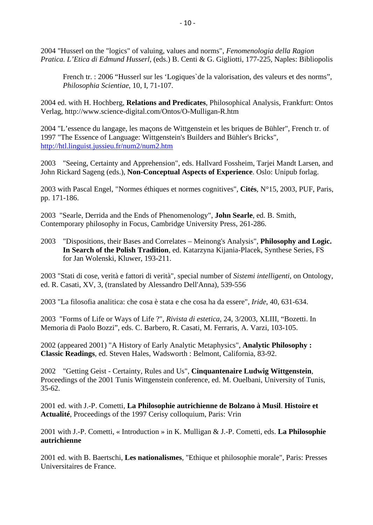2004 "Husserl on the "logics" of valuing, values and norms", *Fenomenologia della Ragion Pratica. L'Etica di Edmund Husserl*, (eds.) B. Centi & G. Gigliotti, 177-225, Naples: Bibliopolis

French tr. : 2006 "Husserl sur les 'Logiques`de la valorisation, des valeurs et des norms", *Philosophia Scientiae*, 10, I, 71-107.

2004 ed. with H. Hochberg, **Relations and Predicates**, Philosophical Analysis, Frankfurt: Ontos Verlag, http://www.science-digital.com/Ontos/O-Mulligan-R.htm

2004 "L'essence du langage, les maçons de Wittgenstein et les briques de Bühler", French tr. of 1997 "The Essence of Language: Wittgenstein's Builders and Bühler's Bricks", <http://htl.linguist.jussieu.fr/num2/num2.htm>

2003 "Seeing, Certainty and Apprehension", eds. Hallvard Fossheim, Tarjei Mandt Larsen, and John Rickard Sageng (eds.), **Non-Conceptual Aspects of Experience**. Oslo: Unipub forlag.

2003 with Pascal Engel, "Normes éthiques et normes cognitives", **Cités**, N°15, 2003, PUF, Paris, pp. 171-186.

2003 "Searle, Derrida and the Ends of Phenomenology", **John Searle**, ed. B. Smith, Contemporary philosophy in Focus, Cambridge University Press, 261-286.

2003 "Dispositions, their Bases and Correlates – Meinong's Analysis", **Philosophy and Logic. In Search of the Polish Tradition**, ed. Katarzyna Kijania-Placek, Synthese Series, FS for Jan Wolenski, Kluwer, 193-211.

2003 "Stati di cose, verità e fattori di verità", special number of *Sistemi intelligenti*, on Ontology, ed. R. Casati, XV, 3, (translated by Alessandro Dell'Anna), 539-556

2003 "La filosofia analitica: che cosa è stata e che cosa ha da essere", *Iride*, 40, 631-634.

2003 "Forms of Life or Ways of Life ?", *Rivista di estetica*, 24, 3/2003, XLIII, "Bozetti. In Memoria di Paolo Bozzi", eds. C. Barbero, R. Casati, M. Ferraris, A. Varzi, 103-105.

2002 (appeared 2001) "A History of Early Analytic Metaphysics", **Analytic Philosophy : Classic Readings**, ed. Steven Hales, Wadsworth : Belmont, California, 83-92.

2002 "Getting Geist - Certainty, Rules and Us", **Cinquantenaire Ludwig Wittgenstein**, Proceedings of the 2001 Tunis Wittgenstein conference, ed. M. Ouelbani, University of Tunis, 35-62.

2001 ed. with J.-P. Cometti, **La Philosophie autrichienne de Bolzano à Musil**. **Histoire et Actualité**, Proceedings of the 1997 Cerisy colloquium, Paris: Vrin

2001 with J.-P. Cometti, « Introduction » in K. Mulligan & J.-P. Cometti, eds. **La Philosophie autrichienne**

2001 ed. with B. Baertschi, **Les nationalismes**, "Ethique et philosophie morale", Paris: Presses Universitaires de France.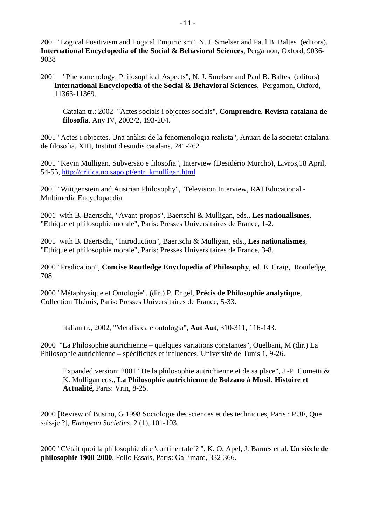2001 "Logical Positivism and Logical Empiricism", N. J. Smelser and Paul B. Baltes (editors), **International Encyclopedia of the Social & Behavioral Sciences**, Pergamon, Oxford, 9036- 9038

2001 "Phenomenology: Philosophical Aspects", N. J. Smelser and Paul B. Baltes (editors) **International Encyclopedia of the Social & Behavioral Sciences**, Pergamon, Oxford, 11363-11369.

Catalan tr.: 2002 "Actes socials i objectes socials", **Comprendre. Revista catalana de filosofia**, Any IV, 2002/2, 193-204.

2001 "Actes i objectes. Una anàlisi de la fenomenologia realista", Anuari de la societat catalana de filosofia, XIII, Institut d'estudis catalans, 241-262

2001 "Kevin Mulligan. Subversão e filosofia", Interview (Desidério Murcho), Livros,18 April, 54-55, [http://critica.no.sapo.pt/entr\\_kmulligan.html](http://critica.no.sapo.pt/entr_kmulligan.html)

2001 "Wittgenstein and Austrian Philosophy", Television Interview, RAI Educational - Multimedia Encyclopaedia.

2001 with B. Baertschi, "Avant-propos", Baertschi & Mulligan, eds., **Les nationalismes**, "Ethique et philosophie morale", Paris: Presses Universitaires de France, 1-2.

2001 with B. Baertschi, "Introduction", Baertschi & Mulligan, eds., **Les nationalismes**, "Ethique et philosophie morale", Paris: Presses Universitaires de France, 3-8.

2000 "Predication", **Concise Routledge Enyclopedia of Philosophy**, ed. E. Craig, Routledge, 708.

2000 "Métaphysique et Ontologie", (dir.) P. Engel, **Précis de Philosophie analytique**, Collection Thémis, Paris: Presses Universitaires de France, 5-33.

Italian tr., 2002, "Metafisica e ontologia", **Aut Aut**, 310-311, 116-143.

2000 "La Philosophie autrichienne – quelques variations constantes", Ouelbani, M (dir.) La Philosophie autrichienne – spécificités et influences, Université de Tunis 1, 9-26.

Expanded version: 2001 "De la philosophie autrichienne et de sa place", J.-P. Cometti & K. Mulligan eds., **La Philosophie autrichienne de Bolzano à Musil**. **Histoire et Actualité**, Paris: Vrin, 8-25.

2000 [Review of Busino, G 1998 Sociologie des sciences et des techniques, Paris : PUF, Que sais-je ?], *European Societies*, 2 (1), 101-103.

2000 "C'était quoi la philosophie dite 'continentale`? ", K. O. Apel, J. Barnes et al. **Un siècle de philosophie 1900-2000**, Folio Essais, Paris: Gallimard, 332-366.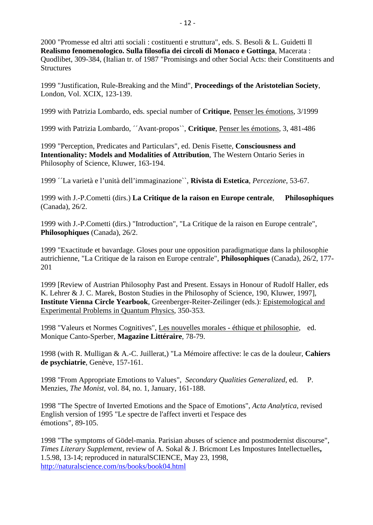2000 "Promesse ed altri atti sociali : costituenti e struttura", eds. S. Besoli & L. Guidetti Il **Realismo fenomenologico. Sulla filosofia dei circoli di Monaco e Gottinga**, Macerata : Quodlibet, 309-384, (Italian tr. of 1987 "Promisings and other Social Acts: their Constituents and **Structures** 

1999 "Justification, Rule-Breaking and the Mind", **Proceedings of the Aristotelian Society**, London, Vol. XCIX, 123-139.

1999 with Patrizia Lombardo, eds. special number of **Critique**, Penser les émotions, 3/1999

1999 with Patrizia Lombardo, ´´Avant-propos``, **Critique**, Penser les émotions, 3, 481-486

1999 "Perception, Predicates and Particulars", ed. Denis Fisette, **Consciousness and Intentionality: Models and Modalities of Attribution**, The Western Ontario Series in Philosophy of Science, Kluwer, 163-194.

1999 ´´La varietà e l'unità dell'immaginazione``, **Rivista di Estetica**, *Percezione*, 53-67.

1999 with J.-P.Cometti (dirs.) **La Critique de la raison en Europe centrale**, **Philosophiques** (Canada), 26/2.

1999 with J.-P.Cometti (dirs.) "Introduction", "La Critique de la raison en Europe centrale", **Philosophiques** (Canada), 26/2.

1999 "Exactitude et bavardage. Gloses pour une opposition paradigmatique dans la philosophie autrichienne, "La Critique de la raison en Europe centrale", **Philosophiques** (Canada), 26/2, 177- 201

1999 [Review of Austrian Philosophy Past and Present. Essays in Honour of Rudolf Haller, eds K. Lehrer & J. C. Marek, Boston Studies in the Philosophy of Science, 190, Kluwer, 1997], **Institute Vienna Circle Yearbook**, Greenberger-Reiter-Zeilinger (eds.): Epistemological and Experimental Problems in Quantum Physics, 350-353.

1998 "Valeurs et Normes Cognitives", Les nouvelles morales - éthique et philosophie, ed. Monique Canto-Sperber, **Magazine Littéraire**, 78-79.

1998 (with R. Mulligan & A.-C. Juillerat,) "La Mémoire affective: le cas de la douleur, **Cahiers de psychiatrie**, Genève, 157-161.

1998 "From Appropriate Emotions to Values", *Secondary Qualities Generalized*, ed. P. Menzies, *The Monist*, vol. 84, no. 1, January, 161-188.

1998 "The Spectre of Inverted Emotions and the Space of Emotions", *Acta Analytica*, revised English version of 1995 "Le spectre de l'affect inverti et l'espace des émotions", 89-105.

1998 "The symptoms of Gödel-mania. Parisian abuses of science and postmodernist discourse", *Times Literary Supplement*, review of A. Sokal & J. Bricmont Les Impostures Intellectuelles**,**  1.5.98, 13-14; reproduced in naturalSCIENCE, May 23, 1998, <http://naturalscience.com/ns/books/book04.html>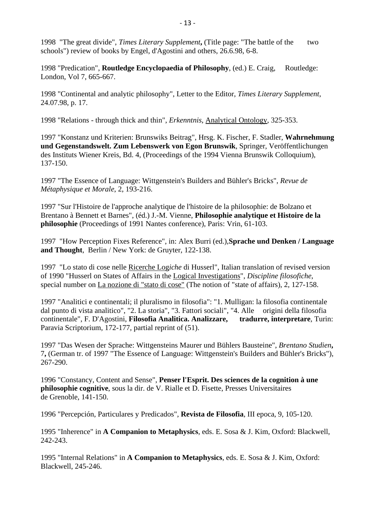1998 "The great divide", *Times Literary Supplement***,** (Title page: "The battle of the two schools") review of books by Engel, d'Agostini and others, 26.6.98, 6-8.

1998 "Predication", **Routledge Encyclopaedia of Philosophy**, (ed.) E. Craig, Routledge: London, Vol 7, 665-667.

1998 "Continental and analytic philosophy", Letter to the Editor, *Times Literary Supplement*, 24.07.98, p. 17.

1998 "Relations - through thick and thin", *Erkenntnis*, Analytical Ontology, 325-353.

1997 "Konstanz und Kriterien: Brunswiks Beitrag", Hrsg. K. Fischer, F. Stadler, **Wahrnehmung und Gegenstandswelt. Zum Lebenswerk von Egon Brunswik**, Springer, Veröffentlichungen des Instituts Wiener Kreis, Bd. 4, (Proceedings of the 1994 Vienna Brunswik Colloquium), 137-150.

1997 "The Essence of Language: Wittgenstein's Builders and Bühler's Bricks", *Revue de Métaphysique et Morale*, 2, 193-216.

1997 "Sur l'Histoire de l'approche analytique de l'histoire de la philosophie: de Bolzano et Brentano à Bennett et Barnes", (éd.) J.-M. Vienne, **Philosophie analytique et Histoire de la philosophie** (Proceedings of 1991 Nantes conference), Paris: Vrin, 61-103.

1997 "How Perception Fixes Reference", in: Alex Burri (ed.),**Sprache und Denken / Language and Thought**, Berlin / New York: de Gruyter, 122-138.

1997 "Lo stato di cose nelle Ricerche Log*iche* di Husserl", Italian translation of revised version of 1990 "Husserl on States of Affairs in the Logical Investigations", *Discipline filosofiche*, special number on La nozione di "stato di cose" (The notion of "state of affairs), 2, 127-158.

1997 "Analitici e continentali; il pluralismo in filosofia": "1. Mulligan: la filosofia continentale dal punto di vista analitico", "2. La storia", "3. Fattori sociali", "4. Alle origini della filosofia continentale", F. D'Agostini, **Filosofia Analitica. Analizzare, tradurre, interpretare**, Turin: Paravia Scriptorium, 172-177, partial reprint of (51).

1997 "Das Wesen der Sprache: Wittgensteins Maurer und Bühlers Bausteine", *Brentano Studien***,**  7**,** (German tr. of 1997 "The Essence of Language: Wittgenstein's Builders and Bühler's Bricks"), 267-290.

1996 "Constancy, Content and Sense", **Penser l'Esprit. Des sciences de la cognition à une philosophie cognitive**, sous la dir. de V. Rialle et D. Fisette, Presses Universitaires de Grenoble, 141-150.

1996 "Percepción, Particulares y Predicados", **Revista de Filosofia**, III epoca, 9, 105-120.

1995 "Inherence" in **A Companion to Metaphysics**, eds. E. Sosa & J. Kim, Oxford: Blackwell, 242-243.

1995 "Internal Relations" in **A Companion to Metaphysics**, eds. E. Sosa & J. Kim, Oxford: Blackwell, 245-246.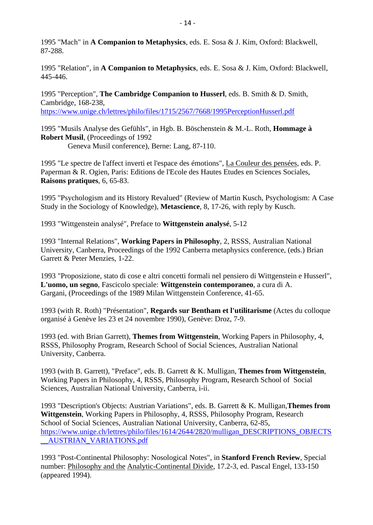1995 "Mach" in **A Companion to Metaphysics**, eds. E. Sosa & J. Kim, Oxford: Blackwell, 87-288.

1995 "Relation", in **A Companion to Metaphysics**, eds. E. Sosa & J. Kim, Oxford: Blackwell, 445-446.

1995 "Perception", **The Cambridge Companion to Husserl**, eds. B. Smith & D. Smith, Cambridge, 168-238, <https://www.unige.ch/lettres/philo/files/1715/2567/7668/1995PerceptionHusserl.pdf>

1995 "Musils Analyse des Gefühls", in Hgb. B. Böschenstein & M.-L. Roth, **Hommage à Robert Musil**, (Proceedings of 1992 Geneva Musil conference), Berne: Lang, 87-110.

1995 "Le spectre de l'affect inverti et l'espace des émotions", La Couleur des pensées, eds. P. Paperman & R. Ogien, Paris: Editions de l'Ecole des Hautes Etudes en Sciences Sociales, **Raisons pratiques**, 6, 65-83.

1995 "Psychologism and its History Revalued" (Review of Martin Kusch, Psychologism: A Case Study in the Sociology of Knowledge), **Metascience**, 8, 17-26, with reply by Kusch.

1993 "Wittgenstein analysé", Preface to **Wittgenstein analysé**, 5-12

1993 "Internal Relations", **Working Papers in Philosophy**, 2, RSSS, Australian National University, Canberra, Proceedings of the 1992 Canberra metaphysics conference, (eds.) Brian Garrett & Peter Menzies, 1-22.

1993 "Proposizione, stato di cose e altri concetti formali nel pensiero di Wittgenstein e Husserl", **L'uomo, un segno**, Fascicolo speciale: **Wittgenstein contemporaneo**, a cura di A. Gargani, (Proceedings of the 1989 Milan Wittgenstein Conference, 41-65.

1993 (with R. Roth) "Présentation", **Regards sur Bentham et l'utilitarisme** (Actes du colloque organisé à Genève les 23 et 24 novembre 1990), Genève: Droz, 7-9.

1993 (ed. with Brian Garrett), **Themes from Wittgenstein**, Working Papers in Philosophy, 4, RSSS, Philosophy Program, Research School of Social Sciences, Australian National University, Canberra.

1993 (with B. Garrett), "Preface", eds. B. Garrett & K. Mulligan, **Themes from Wittgenstein**, Working Papers in Philosophy, 4, RSSS, Philosophy Program, Research School of Social Sciences, Australian National University, Canberra, i-ii.

1993 "Description's Objects: Austrian Variations", eds. B. Garrett & K. Mulligan,**Themes from Wittgenstein**, Working Papers in Philosophy, 4, RSSS, Philosophy Program, Research School of Social Sciences, Australian National University, Canberra, 62-85, [https://www.unige.ch/lettres/philo/files/1614/2644/2820/mulligan\\_DESCRIPTIONS\\_OBJECTS](https://www.unige.ch/lettres/philo/files/1614/2644/2820/mulligan_DESCRIPTIONS_OBJECTS__AUSTRIAN_VARIATIONS.pdf) [\\_\\_AUSTRIAN\\_VARIATIONS.pdf](https://www.unige.ch/lettres/philo/files/1614/2644/2820/mulligan_DESCRIPTIONS_OBJECTS__AUSTRIAN_VARIATIONS.pdf)

1993 "Post-Continental Philosophy: Nosological Notes", in **Stanford French Review**, Special number: Philosophy and the Analytic-Continental Divide, 17.2-3, ed. Pascal Engel, 133-150 (appeared 1994).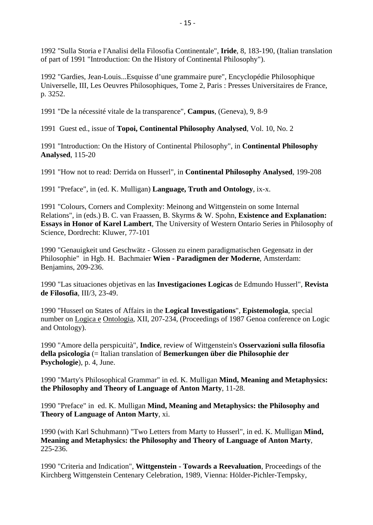1992 "Sulla Storia e l'Analisi della Filosofia Continentale", **Iride**, 8, 183-190, (Italian translation of part of 1991 "Introduction: On the History of Continental Philosophy").

1992 "Gardies, Jean-Louis...Esquisse d'une grammaire pure", Encyclopédie Philosophique Universelle, III, Les Oeuvres Philosophiques, Tome 2, Paris : Presses Universitaires de France, p. 3252.

1991 "De la nécessité vitale de la transparence", **Campus**, (Geneva), 9, 8-9

1991 Guest ed., issue of **Topoi, Continental Philosophy Analysed**, Vol. 10, No. 2

1991 "Introduction: On the History of Continental Philosophy", in **Continental Philosophy Analysed**, 115-20

1991 "How not to read: Derrida on Husserl", in **Continental Philosophy Analysed**, 199-208

1991 "Preface", in (ed. K. Mulligan) **Language, Truth and Ontology**, ix-x.

1991 "Colours, Corners and Complexity: Meinong and Wittgenstein on some Internal Relations", in (eds.) B. C. van Fraassen, B. Skyrms & W. Spohn, **Existence and Explanation: Essays in Honor of Karel Lambert**, The University of Western Ontario Series in Philosophy of Science, Dordrecht: Kluwer, 77-101

1990 "Genauigkeit und Geschwätz - Glossen zu einem paradigmatischen Gegensatz in der Philosophie" in Hgb. H. Bachmaier **Wien - Paradigmen der Moderne**, Amsterdam: Benjamins, 209-236.

1990 "Las situaciones objetivas en las **Investigaciones Logicas** de Edmundo Husserl", **Revista de Filosofia**, III/3, 23-49.

1990 "Husserl on States of Affairs in the **Logical Investigations**", **Epistemologia**, special number on Logica e Ontologia, XII, 207-234, (Proceedings of 1987 Genoa conference on Logic and Ontology).

1990 "Amore della perspicuità", **Indice**, review of Wittgenstein's **Osservazioni sulla filosofia della psicologia** (= Italian translation of **Bemerkungen über die Philosophie der Psychologie**), p. 4, June.

1990 "Marty's Philosophical Grammar" in ed. K. Mulligan **Mind, Meaning and Metaphysics: the Philosophy and Theory of Language of Anton Marty**, 11-28.

1990 "Preface" in ed. K. Mulligan **Mind, Meaning and Metaphysics: the Philosophy and Theory of Language of Anton Marty**, xi.

1990 (with Karl Schuhmann) "Two Letters from Marty to Husserl", in ed. K. Mulligan **Mind, Meaning and Metaphysics: the Philosophy and Theory of Language of Anton Marty**, 225-236.

1990 "Criteria and Indication", **Wittgenstein - Towards a Reevaluation**, Proceedings of the Kirchberg Wittgenstein Centenary Celebration, 1989, Vienna: Hölder-Pichler-Tempsky,